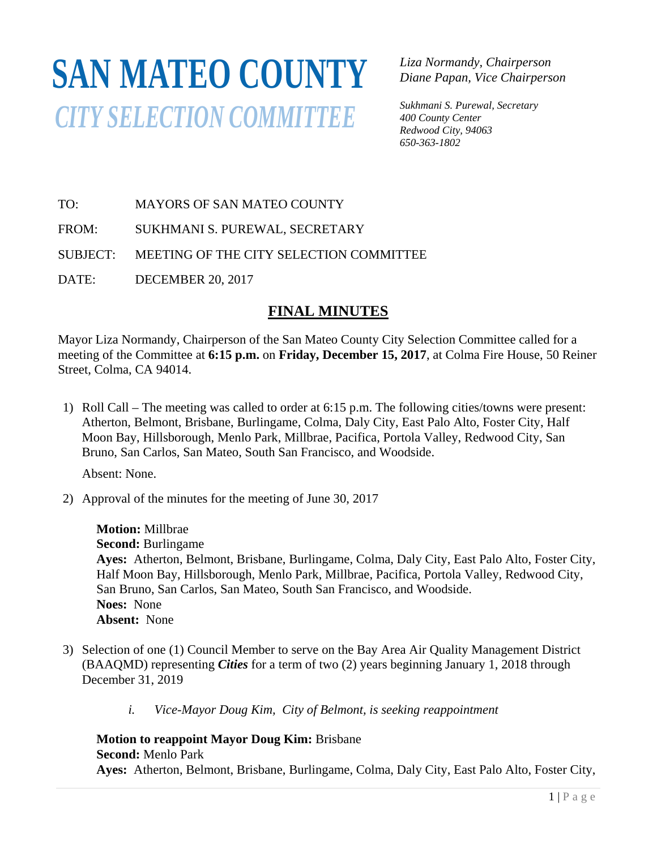# **SAN MATEO COUNTY** *CITY SELECTION COMMITTEE*

*Liza Normandy, Chairperson Diane Papan, Vice Chairperson* 

*Sukhmani S. Purewal, Secretary 400 County Center Redwood City, 94063 650-363-1802*

TO: MAYORS OF SAN MATEO COUNTY

FROM: SUKHMANI S. PUREWAL, SECRETARY

SUBJECT: MEETING OF THE CITY SELECTION COMMITTEE

DATE: DECEMBER 20, 2017

# **FINAL MINUTES**

Mayor Liza Normandy, Chairperson of the San Mateo County City Selection Committee called for a meeting of the Committee at **6:15 p.m.** on **Friday, December 15, 2017**, at Colma Fire House, 50 Reiner Street, Colma, CA 94014.

1) Roll Call – The meeting was called to order at 6:15 p.m. The following cities/towns were present: Atherton, Belmont, Brisbane, Burlingame, Colma, Daly City, East Palo Alto, Foster City, Half Moon Bay, Hillsborough, Menlo Park, Millbrae, Pacifica, Portola Valley, Redwood City, San Bruno, San Carlos, San Mateo, South San Francisco, and Woodside.

Absent: None.

2) Approval of the minutes for the meeting of June 30, 2017

**Motion:** Millbrae **Second:** Burlingame **Ayes:** Atherton, Belmont, Brisbane, Burlingame, Colma, Daly City, East Palo Alto, Foster City, Half Moon Bay, Hillsborough, Menlo Park, Millbrae, Pacifica, Portola Valley, Redwood City, San Bruno, San Carlos, San Mateo, South San Francisco, and Woodside. **Noes:** None **Absent:** None

- 3) Selection of one (1) Council Member to serve on the Bay Area Air Quality Management District (BAAQMD) representing *Cities* for a term of two (2) years beginning January 1, 2018 through December 31, 2019
	- *i. Vice-Mayor Doug Kim, City of Belmont, is seeking reappointment*

**Motion to reappoint Mayor Doug Kim:** Brisbane **Second:** Menlo Park **Ayes:** Atherton, Belmont, Brisbane, Burlingame, Colma, Daly City, East Palo Alto, Foster City,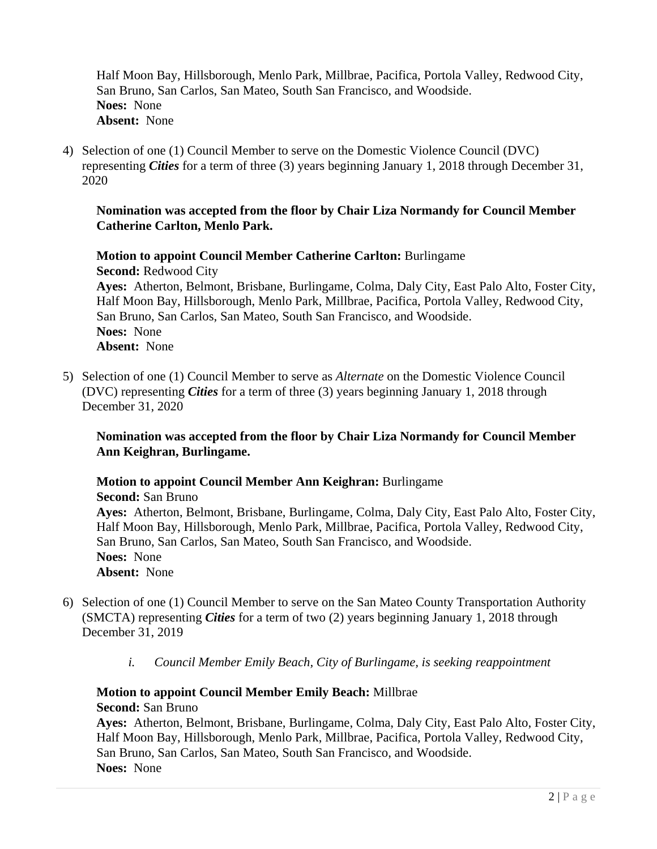Half Moon Bay, Hillsborough, Menlo Park, Millbrae, Pacifica, Portola Valley, Redwood City, San Bruno, San Carlos, San Mateo, South San Francisco, and Woodside. **Noes:** None **Absent:** None

4) Selection of one (1) Council Member to serve on the Domestic Violence Council (DVC) representing *Cities* for a term of three (3) years beginning January 1, 2018 through December 31, 2020

#### **Nomination was accepted from the floor by Chair Liza Normandy for Council Member Catherine Carlton, Menlo Park.**

**Motion to appoint Council Member Catherine Carlton:** Burlingame **Second:** Redwood City **Ayes:** Atherton, Belmont, Brisbane, Burlingame, Colma, Daly City, East Palo Alto, Foster City,

Half Moon Bay, Hillsborough, Menlo Park, Millbrae, Pacifica, Portola Valley, Redwood City, San Bruno, San Carlos, San Mateo, South San Francisco, and Woodside. **Noes:** None **Absent:** None

5) Selection of one (1) Council Member to serve as *Alternate* on the Domestic Violence Council (DVC) representing *Cities* for a term of three (3) years beginning January 1, 2018 through December 31, 2020

#### **Nomination was accepted from the floor by Chair Liza Normandy for Council Member Ann Keighran, Burlingame.**

**Motion to appoint Council Member Ann Keighran:** Burlingame **Second:** San Bruno **Ayes:** Atherton, Belmont, Brisbane, Burlingame, Colma, Daly City, East Palo Alto, Foster City, Half Moon Bay, Hillsborough, Menlo Park, Millbrae, Pacifica, Portola Valley, Redwood City, San Bruno, San Carlos, San Mateo, South San Francisco, and Woodside. **Noes:** None **Absent:** None

- 6) Selection of one (1) Council Member to serve on the San Mateo County Transportation Authority (SMCTA) representing *Cities* for a term of two (2) years beginning January 1, 2018 through December 31, 2019
	- *i. Council Member Emily Beach, City of Burlingame, is seeking reappointment*

# **Motion to appoint Council Member Emily Beach:** Millbrae

**Second:** San Bruno

**Ayes:** Atherton, Belmont, Brisbane, Burlingame, Colma, Daly City, East Palo Alto, Foster City, Half Moon Bay, Hillsborough, Menlo Park, Millbrae, Pacifica, Portola Valley, Redwood City, San Bruno, San Carlos, San Mateo, South San Francisco, and Woodside. **Noes:** None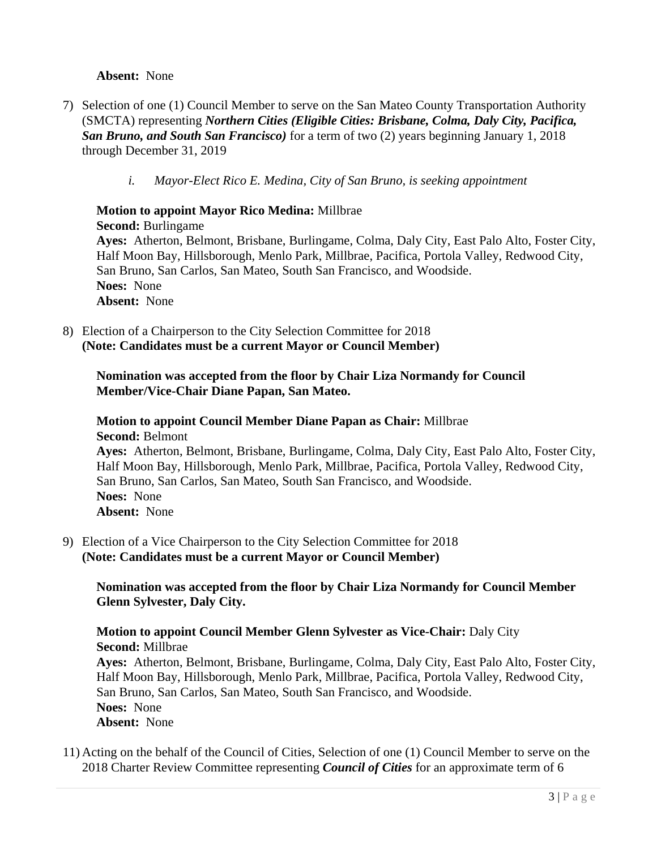#### **Absent:** None

- 7) Selection of one (1) Council Member to serve on the San Mateo County Transportation Authority (SMCTA) representing *Northern Cities (Eligible Cities: Brisbane, Colma, Daly City, Pacifica, San Bruno, and South San Francisco)* for a term of two (2) years beginning January 1, 2018 through December 31, 2019
	- *i. Mayor-Elect Rico E. Medina, City of San Bruno, is seeking appointment*

# **Motion to appoint Mayor Rico Medina:** Millbrae

**Second:** Burlingame

**Ayes:** Atherton, Belmont, Brisbane, Burlingame, Colma, Daly City, East Palo Alto, Foster City, Half Moon Bay, Hillsborough, Menlo Park, Millbrae, Pacifica, Portola Valley, Redwood City, San Bruno, San Carlos, San Mateo, South San Francisco, and Woodside. **Noes:** None **Absent:** None

8) Election of a Chairperson to the City Selection Committee for 2018 **(Note: Candidates must be a current Mayor or Council Member)**

#### **Nomination was accepted from the floor by Chair Liza Normandy for Council Member/Vice-Chair Diane Papan, San Mateo.**

### **Motion to appoint Council Member Diane Papan as Chair:** Millbrae **Second:** Belmont

**Ayes:** Atherton, Belmont, Brisbane, Burlingame, Colma, Daly City, East Palo Alto, Foster City, Half Moon Bay, Hillsborough, Menlo Park, Millbrae, Pacifica, Portola Valley, Redwood City, San Bruno, San Carlos, San Mateo, South San Francisco, and Woodside. **Noes:** None **Absent:** None

9) Election of a Vice Chairperson to the City Selection Committee for 2018 **(Note: Candidates must be a current Mayor or Council Member)** 

**Nomination was accepted from the floor by Chair Liza Normandy for Council Member Glenn Sylvester, Daly City.** 

**Motion to appoint Council Member Glenn Sylvester as Vice-Chair:** Daly City **Second:** Millbrae

**Ayes:** Atherton, Belmont, Brisbane, Burlingame, Colma, Daly City, East Palo Alto, Foster City, Half Moon Bay, Hillsborough, Menlo Park, Millbrae, Pacifica, Portola Valley, Redwood City, San Bruno, San Carlos, San Mateo, South San Francisco, and Woodside. **Noes:** None **Absent:** None

11) Acting on the behalf of the Council of Cities, Selection of one (1) Council Member to serve on the 2018 Charter Review Committee representing *Council of Cities* for an approximate term of 6